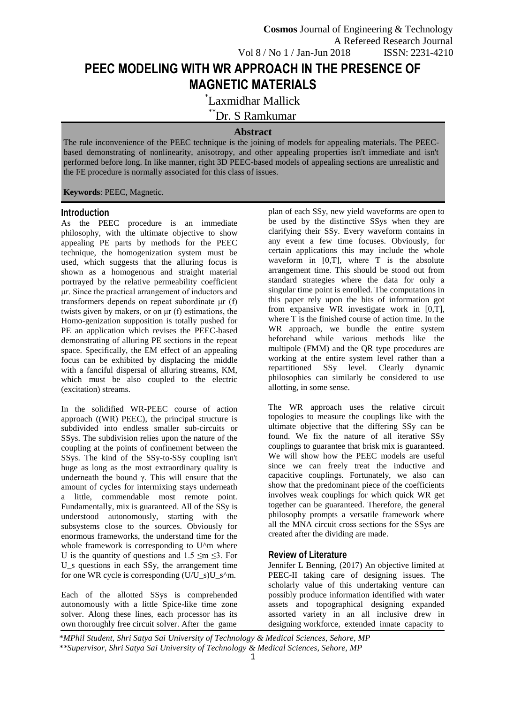# **PEEC MODELING WITH WR APPROACH IN THE PRESENCE OF MAGNETIC MATERIALS**

\* Laxmidhar Mallick

\*\*Dr. S Ramkumar

# **Abstract**

The rule inconvenience of the PEEC technique is the joining of models for appealing materials. The PEECbased demonstrating of nonlinearity, anisotropy, and other appealing properties isn't immediate and isn't performed before long. In like manner, right 3D PEEC-based models of appealing sections are unrealistic and the FE procedure is normally associated for this class of issues.

**Keywords**: PEEC, Magnetic.

#### **Introduction**

As the PEEC procedure is an immediate philosophy, with the ultimate objective to show appealing PE parts by methods for the PEEC technique, the homogenization system must be used, which suggests that the alluring focus is shown as a homogenous and straight material portrayed by the relative permeability coefficient μr. Since the practical arrangement of inductors and transformers depends on repeat subordinate μr (f) twists given by makers, or on μr (f) estimations, the Homo-genization supposition is totally pushed for PE an application which revises the PEEC-based demonstrating of alluring PE sections in the repeat space. Specifically, the EM effect of an appealing focus can be exhibited by displacing the middle with a fanciful dispersal of alluring streams, KM, which must be also coupled to the electric (excitation) streams.

In the solidified WR-PEEC course of action approach ((WR) PEEC), the principal structure is subdivided into endless smaller sub-circuits or SSys. The subdivision relies upon the nature of the coupling at the points of confinement between the SSys. The kind of the SSy-to-SSy coupling isn't huge as long as the most extraordinary quality is underneath the bound γ. This will ensure that the amount of cycles for intermixing stays underneath a little, commendable most remote point. Fundamentally, mix is guaranteed. All of the SSy is understood autonomously, starting with the subsystems close to the sources. Obviously for enormous frameworks, the understand time for the whole framework is corresponding to U^m where U is the quantity of questions and  $1.5 \le m \le 3$ . For U s questions in each SSy, the arrangement time for one WR cycle is corresponding  $(U/U_s)U_s^m$ .

Each of the allotted SSys is comprehended autonomously with a little Spice-like time zone solver. Along these lines, each processor has its own thoroughly free circuit solver. After the game

plan of each SSy, new yield waveforms are open to be used by the distinctive SSys when they are clarifying their SSy. Every waveform contains in any event a few time focuses. Obviously, for certain applications this may include the whole waveform in [0,T], where T is the absolute arrangement time. This should be stood out from standard strategies where the data for only a singular time point is enrolled. The computations in this paper rely upon the bits of information got from expansive WR investigate work in [0,T], where T is the finished course of action time. In the WR approach, we bundle the entire system beforehand while various methods like the multipole (FMM) and the QR type procedures are working at the entire system level rather than a repartitioned SSy level. Clearly dynamic philosophies can similarly be considered to use allotting, in some sense.

The WR approach uses the relative circuit topologies to measure the couplings like with the ultimate objective that the differing SSy can be found. We fix the nature of all iterative SSy couplings to guarantee that brisk mix is guaranteed. We will show how the PEEC models are useful since we can freely treat the inductive and capacitive couplings. Fortunately, we also can show that the predominant piece of the coefficients involves weak couplings for which quick WR get together can be guaranteed. Therefore, the general philosophy prompts a versatile framework where all the MNA circuit cross sections for the SSys are created after the dividing are made.

# **Review of Literature**

Jennifer L Benning, (2017) An objective limited at PEEC-II taking care of designing issues. The scholarly value of this undertaking venture can possibly produce information identified with water assets and topographical designing expanded assorted variety in an all inclusive drew in designing workforce, extended innate capacity to

*\*MPhil Student, Shri Satya Sai University of Technology & Medical Sciences, Sehore, MP \*\*Supervisor, Shri Satya Sai University of Technology & Medical Sciences, Sehore, MP*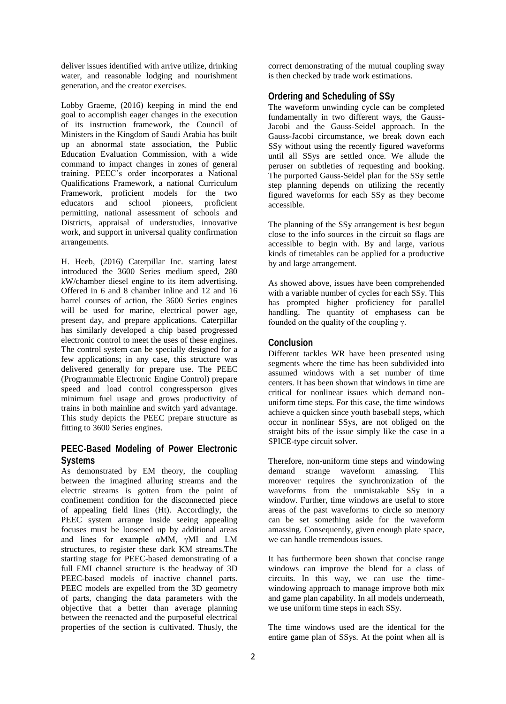deliver issues identified with arrive utilize, drinking water, and reasonable lodging and nourishment generation, and the creator exercises.

Lobby Graeme, (2016) keeping in mind the end goal to accomplish eager changes in the execution of its instruction framework, the Council of Ministers in the Kingdom of Saudi Arabia has built up an abnormal state association, the Public Education Evaluation Commission, with a wide command to impact changes in zones of general training. PEEC's order incorporates a National Qualifications Framework, a national Curriculum Framework, proficient models for the two educators and school pioneers, proficient permitting, national assessment of schools and Districts, appraisal of understudies, innovative work, and support in universal quality confirmation arrangements.

H. Heeb, (2016) Caterpillar Inc. starting latest introduced the 3600 Series medium speed, 280 kW/chamber diesel engine to its item advertising. Offered in 6 and 8 chamber inline and 12 and 16 barrel courses of action, the 3600 Series engines will be used for marine, electrical power age, present day, and prepare applications. Caterpillar has similarly developed a chip based progressed electronic control to meet the uses of these engines. The control system can be specially designed for a few applications; in any case, this structure was delivered generally for prepare use. The PEEC (Programmable Electronic Engine Control) prepare speed and load control congressperson gives minimum fuel usage and grows productivity of trains in both mainline and switch yard advantage. This study depicts the PEEC prepare structure as fitting to 3600 Series engines.

# **PEEC-Based Modeling of Power Electronic Systems**

As demonstrated by EM theory, the coupling between the imagined alluring streams and the electric streams is gotten from the point of confinement condition for the disconnected piece of appealing field lines (Ht). Accordingly, the PEEC system arrange inside seeing appealing focuses must be loosened up by additional areas and lines for example αMM, γMI and LM structures, to register these dark KM streams.The starting stage for PEEC-based demonstrating of a full EMI channel structure is the headway of 3D PEEC-based models of inactive channel parts. PEEC models are expelled from the 3D geometry of parts, changing the data parameters with the objective that a better than average planning between the reenacted and the purposeful electrical properties of the section is cultivated. Thusly, the

correct demonstrating of the mutual coupling sway is then checked by trade work estimations.

#### **Ordering and Scheduling of SSy**

The waveform unwinding cycle can be completed fundamentally in two different ways, the Gauss-Jacobi and the Gauss-Seidel approach. In the Gauss-Jacobi circumstance, we break down each SSy without using the recently figured waveforms until all SSys are settled once. We allude the peruser on subtleties of requesting and booking. The purported Gauss-Seidel plan for the SSy settle step planning depends on utilizing the recently figured waveforms for each SSy as they become accessible.

The planning of the SSy arrangement is best begun close to the info sources in the circuit so flags are accessible to begin with. By and large, various kinds of timetables can be applied for a productive by and large arrangement.

As showed above, issues have been comprehended with a variable number of cycles for each SSy. This has prompted higher proficiency for parallel handling. The quantity of emphasess can be founded on the quality of the coupling γ.

#### **Conclusion**

Different tackles WR have been presented using segments where the time has been subdivided into assumed windows with a set number of time centers. It has been shown that windows in time are critical for nonlinear issues which demand nonuniform time steps. For this case, the time windows achieve a quicken since youth baseball steps, which occur in nonlinear SSys, are not obliged on the straight bits of the issue simply like the case in a SPICE-type circuit solver.

Therefore, non-uniform time steps and windowing demand strange waveform amassing. This moreover requires the synchronization of the waveforms from the unmistakable SSy in a window. Further, time windows are useful to store areas of the past waveforms to circle so memory can be set something aside for the waveform amassing. Consequently, given enough plate space, we can handle tremendous issues.

It has furthermore been shown that concise range windows can improve the blend for a class of circuits. In this way, we can use the timewindowing approach to manage improve both mix and game plan capability. In all models underneath, we use uniform time steps in each SSy.

The time windows used are the identical for the entire game plan of SSys. At the point when all is